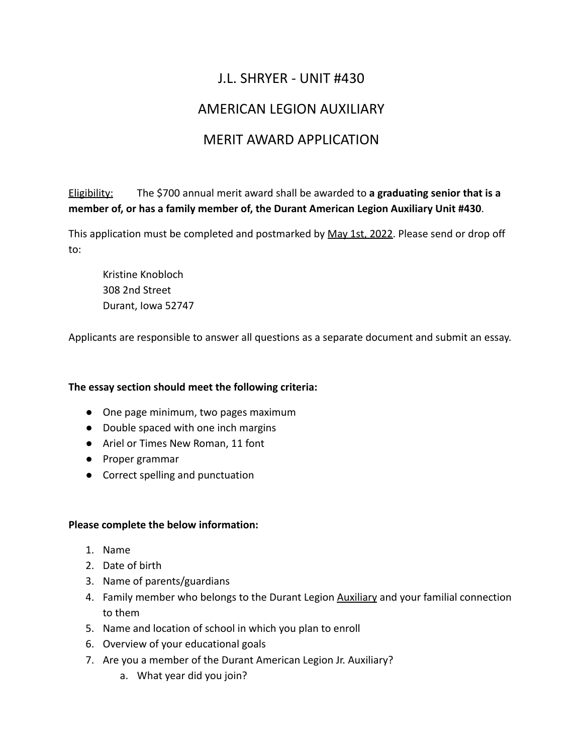# J.L. SHRYER - UNIT #430

# AMERICAN LEGION AUXILIARY

# MERIT AWARD APPLICATION

Eligibility: The \$700 annual merit award shall be awarded to **a graduating senior that is a member of, or has a family member of, the Durant American Legion Auxiliary Unit #430**.

This application must be completed and postmarked by May 1st, 2022. Please send or drop off to:

Kristine Knobloch 308 2nd Street Durant, Iowa 52747

Applicants are responsible to answer all questions as a separate document and submit an essay.

#### **The essay section should meet the following criteria:**

- One page minimum, two pages maximum
- Double spaced with one inch margins
- Ariel or Times New Roman, 11 font
- Proper grammar
- Correct spelling and punctuation

#### **Please complete the below information:**

- 1. Name
- 2. Date of birth
- 3. Name of parents/guardians
- 4. Family member who belongs to the Durant Legion Auxiliary and your familial connection to them
- 5. Name and location of school in which you plan to enroll
- 6. Overview of your educational goals
- 7. Are you a member of the Durant American Legion Jr. Auxiliary?
	- a. What year did you join?